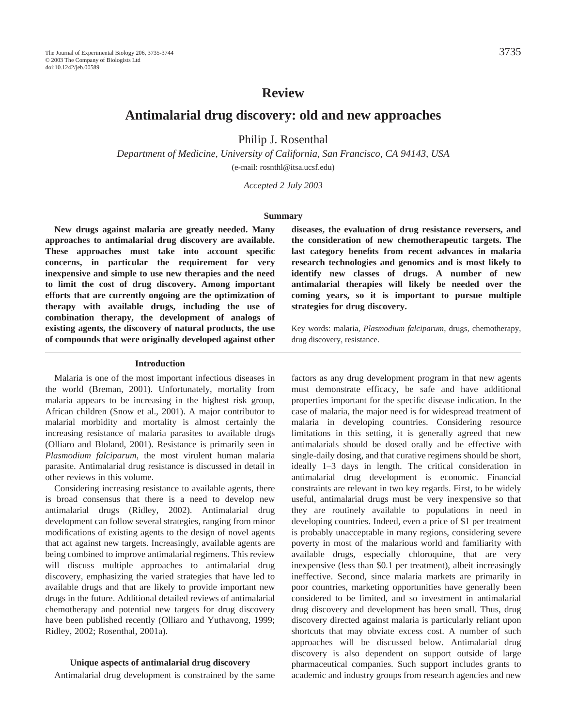# **Review**

# **Antimalarial drug discovery: old and new approaches**

Philip J. Rosenthal

*Department of Medicine, University of California, San Francisco, CA 94143, USA* (e-mail: rosnthl@itsa.ucsf.edu)

*Accepted 2 July 2003*

#### **Summary**

**New drugs against malaria are greatly needed. Many approaches to antimalarial drug discovery are available. These approaches must take into account specific concerns, in particular the requirement for very inexpensive and simple to use new therapies and the need to limit the cost of drug discovery. Among important efforts that are currently ongoing are the optimization of therapy with available drugs, including the use of combination therapy, the development of analogs of existing agents, the discovery of natural products, the use of compounds that were originally developed against other**

#### **Introduction**

Malaria is one of the most important infectious diseases in the world (Breman, 2001). Unfortunately, mortality from malaria appears to be increasing in the highest risk group, African children (Snow et al., 2001). A major contributor to malarial morbidity and mortality is almost certainly the increasing resistance of malaria parasites to available drugs (Olliaro and Bloland, 2001). Resistance is primarily seen in *Plasmodium falciparum*, the most virulent human malaria parasite. Antimalarial drug resistance is discussed in detail in other reviews in this volume.

Considering increasing resistance to available agents, there is broad consensus that there is a need to develop new antimalarial drugs (Ridley, 2002). Antimalarial drug development can follow several strategies, ranging from minor modifications of existing agents to the design of novel agents that act against new targets. Increasingly, available agents are being combined to improve antimalarial regimens. This review will discuss multiple approaches to antimalarial drug discovery, emphasizing the varied strategies that have led to available drugs and that are likely to provide important new drugs in the future. Additional detailed reviews of antimalarial chemotherapy and potential new targets for drug discovery have been published recently (Olliaro and Yuthavong, 1999; Ridley, 2002; Rosenthal, 2001a).

#### **Unique aspects of antimalarial drug discovery**

Antimalarial drug development is constrained by the same

**diseases, the evaluation of drug resistance reversers, and the consideration of new chemotherapeutic targets. The last category benefits from recent advances in malaria research technologies and genomics and is most likely to identify new classes of drugs. A number of new antimalarial therapies will likely be needed over the coming years, so it is important to pursue multiple strategies for drug discovery.**

Key words: malaria, *Plasmodium falciparum*, drugs, chemotherapy, drug discovery, resistance.

factors as any drug development program in that new agents must demonstrate efficacy, be safe and have additional properties important for the specific disease indication. In the case of malaria, the major need is for widespread treatment of malaria in developing countries. Considering resource limitations in this setting, it is generally agreed that new antimalarials should be dosed orally and be effective with single-daily dosing, and that curative regimens should be short, ideally 1–3 days in length. The critical consideration in antimalarial drug development is economic. Financial constraints are relevant in two key regards. First, to be widely useful, antimalarial drugs must be very inexpensive so that they are routinely available to populations in need in developing countries. Indeed, even a price of \$1 per treatment is probably unacceptable in many regions, considering severe poverty in most of the malarious world and familiarity with available drugs, especially chloroquine, that are very inexpensive (less than \$0.1 per treatment), albeit increasingly ineffective. Second, since malaria markets are primarily in poor countries, marketing opportunities have generally been considered to be limited, and so investment in antimalarial drug discovery and development has been small. Thus, drug discovery directed against malaria is particularly reliant upon shortcuts that may obviate excess cost. A number of such approaches will be discussed below. Antimalarial drug discovery is also dependent on support outside of large pharmaceutical companies. Such support includes grants to academic and industry groups from research agencies and new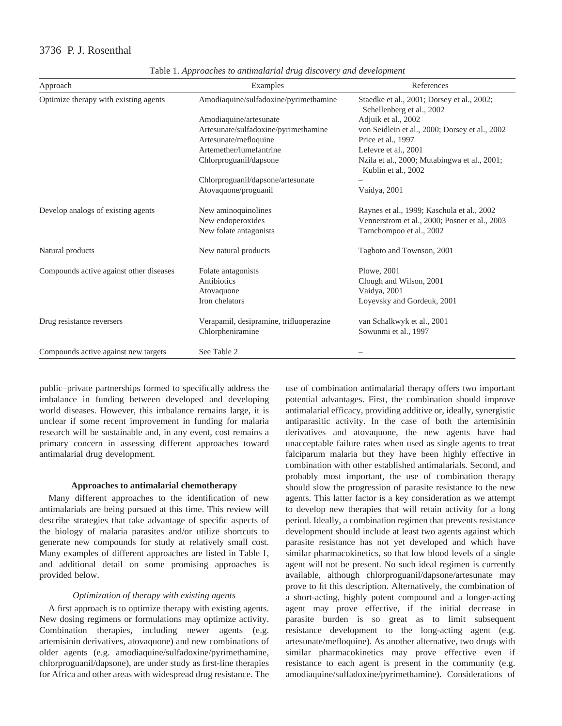| Approach                                | Examples                                | References                                                              |
|-----------------------------------------|-----------------------------------------|-------------------------------------------------------------------------|
| Optimize therapy with existing agents   | Amodiaquine/sulfadoxine/pyrimethamine   | Staedke et al., 2001; Dorsey et al., 2002;<br>Schellenberg et al., 2002 |
|                                         | Amodiaquine/artesunate                  | Adjuik et al., 2002                                                     |
|                                         | Artesunate/sulfadoxine/pyrimethamine    | von Seidlein et al., 2000; Dorsey et al., 2002                          |
|                                         | Artesunate/mefloquine                   | Price et al., 1997                                                      |
|                                         | Artemether/lumefantrine                 | Lefevre et al., 2001                                                    |
|                                         | Chlorproguanil/dapsone                  | Nzila et al., 2000; Mutabingwa et al., 2001;<br>Kublin et al., 2002     |
|                                         | Chlorproguanil/dapsone/artesunate       |                                                                         |
|                                         | Atovaquone/proguanil                    | Vaidya, 2001                                                            |
| Develop analogs of existing agents      | New aminoquinolines                     | Raynes et al., 1999; Kaschula et al., 2002                              |
|                                         | New endoperoxides                       | Vennerstrom et al., 2000; Posner et al., 2003                           |
|                                         | New folate antagonists                  | Tarnchompoo et al., 2002                                                |
| Natural products                        | New natural products                    | Tagboto and Townson, 2001                                               |
| Compounds active against other diseases | Folate antagonists                      | Plowe, 2001                                                             |
|                                         | Antibiotics                             | Clough and Wilson, 2001                                                 |
|                                         | Atovaquone                              | Vaidya, 2001                                                            |
|                                         | Iron chelators                          | Loyevsky and Gordeuk, 2001                                              |
| Drug resistance reversers               | Verapamil, desipramine, trifluoperazine | van Schalkwyk et al., 2001                                              |
|                                         | Chlorpheniramine                        | Sowunmi et al., 1997                                                    |
| Compounds active against new targets    | See Table 2                             |                                                                         |

Table 1. *Approaches to antimalarial drug discovery and development*

public–private partnerships formed to specifically address the imbalance in funding between developed and developing world diseases. However, this imbalance remains large, it is unclear if some recent improvement in funding for malaria research will be sustainable and, in any event, cost remains a primary concern in assessing different approaches toward antimalarial drug development.

#### **Approaches to antimalarial chemotherapy**

Many different approaches to the identification of new antimalarials are being pursued at this time. This review will describe strategies that take advantage of specific aspects of the biology of malaria parasites and/or utilize shortcuts to generate new compounds for study at relatively small cost. Many examples of different approaches are listed in Table 1, and additional detail on some promising approaches is provided below.

## *Optimization of therapy with existing agents*

A first approach is to optimize therapy with existing agents. New dosing regimens or formulations may optimize activity. Combination therapies, including newer agents (e.g. artemisinin derivatives, atovaquone) and new combinations of older agents (e.g. amodiaquine/sulfadoxine/pyrimethamine, chlorproguanil/dapsone), are under study as first-line therapies for Africa and other areas with widespread drug resistance. The use of combination antimalarial therapy offers two important potential advantages. First, the combination should improve antimalarial efficacy, providing additive or, ideally, synergistic antiparasitic activity. In the case of both the artemisinin derivatives and atovaquone, the new agents have had unacceptable failure rates when used as single agents to treat falciparum malaria but they have been highly effective in combination with other established antimalarials. Second, and probably most important, the use of combination therapy should slow the progression of parasite resistance to the new agents. This latter factor is a key consideration as we attempt to develop new therapies that will retain activity for a long period. Ideally, a combination regimen that prevents resistance development should include at least two agents against which parasite resistance has not yet developed and which have similar pharmacokinetics, so that low blood levels of a single agent will not be present. No such ideal regimen is currently available, although chlorproguanil/dapsone/artesunate may prove to fit this description. Alternatively, the combination of a short-acting, highly potent compound and a longer-acting agent may prove effective, if the initial decrease in parasite burden is so great as to limit subsequent resistance development to the long-acting agent (e.g. artesunate/mefloquine). As another alternative, two drugs with similar pharmacokinetics may prove effective even if resistance to each agent is present in the community (e.g. amodiaquine/sulfadoxine/pyrimethamine). Considerations of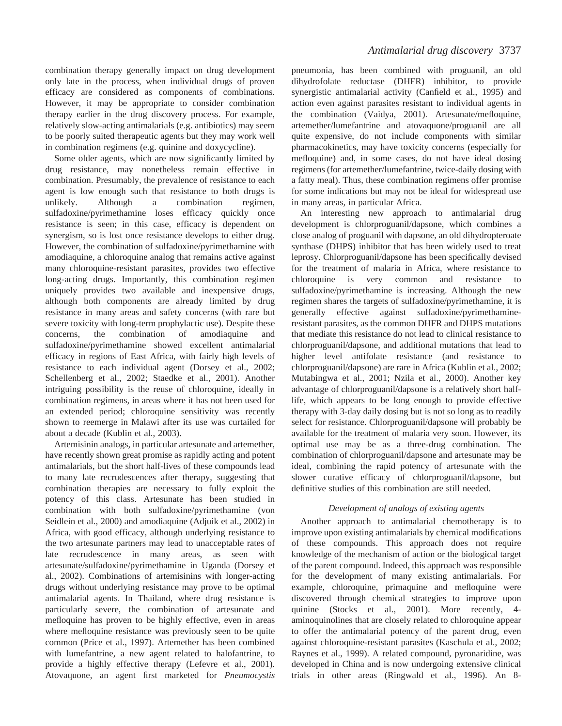combination therapy generally impact on drug development only late in the process, when individual drugs of proven efficacy are considered as components of combinations. However, it may be appropriate to consider combination therapy earlier in the drug discovery process. For example, relatively slow-acting antimalarials (e.g. antibiotics) may seem to be poorly suited therapeutic agents but they may work well in combination regimens (e.g. quinine and doxycycline).

Some older agents, which are now significantly limited by drug resistance, may nonetheless remain effective in combination. Presumably, the prevalence of resistance to each agent is low enough such that resistance to both drugs is unlikely. Although a combination regimen, sulfadoxine/pyrimethamine loses efficacy quickly once resistance is seen; in this case, efficacy is dependent on synergism, so is lost once resistance develops to either drug. However, the combination of sulfadoxine/pyrimethamine with amodiaquine, a chloroquine analog that remains active against many chloroquine-resistant parasites, provides two effective long-acting drugs. Importantly, this combination regimen uniquely provides two available and inexpensive drugs, although both components are already limited by drug resistance in many areas and safety concerns (with rare but severe toxicity with long-term prophylactic use). Despite these concerns, the combination of amodiaquine and sulfadoxine/pyrimethamine showed excellent antimalarial efficacy in regions of East Africa, with fairly high levels of resistance to each individual agent (Dorsey et al., 2002; Schellenberg et al., 2002; Staedke et al., 2001). Another intriguing possibility is the reuse of chloroquine, ideally in combination regimens, in areas where it has not been used for an extended period; chloroquine sensitivity was recently shown to reemerge in Malawi after its use was curtailed for about a decade (Kublin et al., 2003).

Artemisinin analogs, in particular artesunate and artemether, have recently shown great promise as rapidly acting and potent antimalarials, but the short half-lives of these compounds lead to many late recrudescences after therapy, suggesting that combination therapies are necessary to fully exploit the potency of this class. Artesunate has been studied in combination with both sulfadoxine/pyrimethamine (von Seidlein et al., 2000) and amodiaquine (Adjuik et al., 2002) in Africa, with good efficacy, although underlying resistance to the two artesunate partners may lead to unacceptable rates of late recrudescence in many areas, as seen with artesunate/sulfadoxine/pyrimethamine in Uganda (Dorsey et al., 2002). Combinations of artemisinins with longer-acting drugs without underlying resistance may prove to be optimal antimalarial agents. In Thailand, where drug resistance is particularly severe, the combination of artesunate and mefloquine has proven to be highly effective, even in areas where mefloquine resistance was previously seen to be quite common (Price et al., 1997). Artemether has been combined with lumefantrine, a new agent related to halofantrine, to provide a highly effective therapy (Lefevre et al., 2001). Atovaquone, an agent first marketed for *Pneumocystis*

pneumonia, has been combined with proguanil, an old dihydrofolate reductase (DHFR) inhibitor, to provide synergistic antimalarial activity (Canfield et al., 1995) and action even against parasites resistant to individual agents in the combination (Vaidya, 2001). Artesunate/mefloquine, artemether/lumefantrine and atovaquone/proguanil are all quite expensive, do not include components with similar pharmacokinetics, may have toxicity concerns (especially for mefloquine) and, in some cases, do not have ideal dosing regimens (for artemether/lumefantrine, twice-daily dosing with a fatty meal). Thus, these combination regimens offer promise for some indications but may not be ideal for widespread use in many areas, in particular Africa.

An interesting new approach to antimalarial drug development is chlorproguanil/dapsone, which combines a close analog of proguanil with dapsone, an old dihydropteroate synthase (DHPS) inhibitor that has been widely used to treat leprosy. Chlorproguanil/dapsone has been specifically devised for the treatment of malaria in Africa, where resistance to chloroquine is very common and resistance to sulfadoxine/pyrimethamine is increasing. Although the new regimen shares the targets of sulfadoxine/pyrimethamine, it is generally effective against sulfadoxine/pyrimethamineresistant parasites, as the common DHFR and DHPS mutations that mediate this resistance do not lead to clinical resistance to chlorproguanil/dapsone, and additional mutations that lead to higher level antifolate resistance (and resistance to chlorproguanil/dapsone) are rare in Africa (Kublin et al., 2002; Mutabingwa et al., 2001; Nzila et al., 2000). Another key advantage of chlorproguanil/dapsone is a relatively short halflife, which appears to be long enough to provide effective therapy with 3-day daily dosing but is not so long as to readily select for resistance. Chlorproguanil/dapsone will probably be available for the treatment of malaria very soon. However, its optimal use may be as a three-drug combination. The combination of chlorproguanil/dapsone and artesunate may be ideal, combining the rapid potency of artesunate with the slower curative efficacy of chlorproguanil/dapsone, but definitive studies of this combination are still needed.

## *Development of analogs of existing agents*

Another approach to antimalarial chemotherapy is to improve upon existing antimalarials by chemical modifications of these compounds. This approach does not require knowledge of the mechanism of action or the biological target of the parent compound. Indeed, this approach was responsible for the development of many existing antimalarials. For example, chloroquine, primaquine and mefloquine were discovered through chemical strategies to improve upon quinine (Stocks et al., 2001). More recently, 4 aminoquinolines that are closely related to chloroquine appear to offer the antimalarial potency of the parent drug, even against chloroquine-resistant parasites (Kaschula et al., 2002; Raynes et al., 1999). A related compound, pyronaridine, was developed in China and is now undergoing extensive clinical trials in other areas (Ringwald et al., 1996). An 8-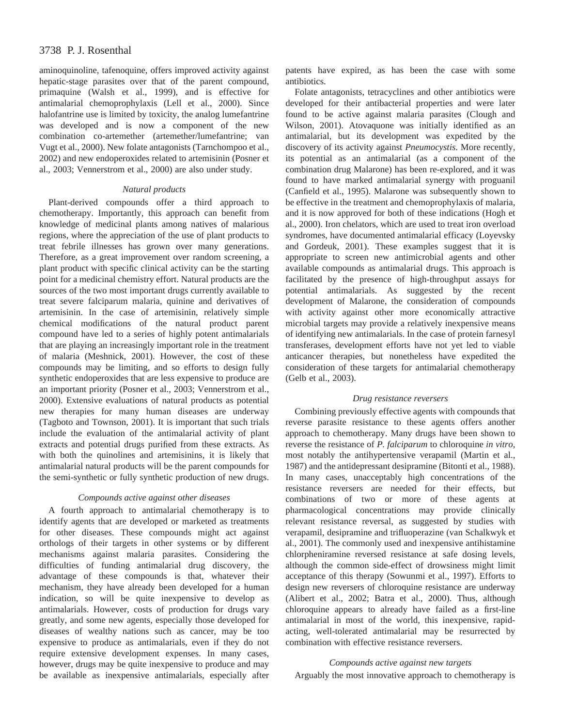aminoquinoline, tafenoquine, offers improved activity against hepatic-stage parasites over that of the parent compound, primaquine (Walsh et al., 1999), and is effective for antimalarial chemoprophylaxis (Lell et al., 2000). Since halofantrine use is limited by toxicity, the analog lumefantrine was developed and is now a component of the new combination co-artemether (artemether/lumefantrine; van Vugt et al., 2000). New folate antagonists (Tarnchompoo et al., 2002) and new endoperoxides related to artemisinin (Posner et al., 2003; Vennerstrom et al., 2000) are also under study.

# *Natural products*

Plant-derived compounds offer a third approach to chemotherapy. Importantly, this approach can benefit from knowledge of medicinal plants among natives of malarious regions, where the appreciation of the use of plant products to treat febrile illnesses has grown over many generations. Therefore, as a great improvement over random screening, a plant product with specific clinical activity can be the starting point for a medicinal chemistry effort. Natural products are the sources of the two most important drugs currently available to treat severe falciparum malaria, quinine and derivatives of artemisinin. In the case of artemisinin, relatively simple chemical modifications of the natural product parent compound have led to a series of highly potent antimalarials that are playing an increasingly important role in the treatment of malaria (Meshnick, 2001). However, the cost of these compounds may be limiting, and so efforts to design fully synthetic endoperoxides that are less expensive to produce are an important priority (Posner et al., 2003; Vennerstrom et al., 2000). Extensive evaluations of natural products as potential new therapies for many human diseases are underway (Tagboto and Townson, 2001). It is important that such trials include the evaluation of the antimalarial activity of plant extracts and potential drugs purified from these extracts. As with both the quinolines and artemisinins, it is likely that antimalarial natural products will be the parent compounds for the semi-synthetic or fully synthetic production of new drugs.

## *Compounds active against other diseases*

A fourth approach to antimalarial chemotherapy is to identify agents that are developed or marketed as treatments for other diseases. These compounds might act against orthologs of their targets in other systems or by different mechanisms against malaria parasites. Considering the difficulties of funding antimalarial drug discovery, the advantage of these compounds is that, whatever their mechanism, they have already been developed for a human indication, so will be quite inexpensive to develop as antimalarials. However, costs of production for drugs vary greatly, and some new agents, especially those developed for diseases of wealthy nations such as cancer, may be too expensive to produce as antimalarials, even if they do not require extensive development expenses. In many cases, however, drugs may be quite inexpensive to produce and may be available as inexpensive antimalarials, especially after

patents have expired, as has been the case with some antibiotics.

Folate antagonists, tetracyclines and other antibiotics were developed for their antibacterial properties and were later found to be active against malaria parasites (Clough and Wilson, 2001). Atovaquone was initially identified as an antimalarial, but its development was expedited by the discovery of its activity against *Pneumocystis*. More recently, its potential as an antimalarial (as a component of the combination drug Malarone) has been re-explored, and it was found to have marked antimalarial synergy with proguanil (Canfield et al., 1995). Malarone was subsequently shown to be effective in the treatment and chemoprophylaxis of malaria, and it is now approved for both of these indications (Hogh et al., 2000). Iron chelators, which are used to treat iron overload syndromes, have documented antimalarial efficacy (Loyevsky and Gordeuk, 2001). These examples suggest that it is appropriate to screen new antimicrobial agents and other available compounds as antimalarial drugs. This approach is facilitated by the presence of high-throughput assays for potential antimalarials. As suggested by the recent development of Malarone, the consideration of compounds with activity against other more economically attractive microbial targets may provide a relatively inexpensive means of identifying new antimalarials. In the case of protein farnesyl transferases, development efforts have not yet led to viable anticancer therapies, but nonetheless have expedited the consideration of these targets for antimalarial chemotherapy (Gelb et al., 2003).

#### *Drug resistance reversers*

Combining previously effective agents with compounds that reverse parasite resistance to these agents offers another approach to chemotherapy. Many drugs have been shown to reverse the resistance of *P. falciparum* to chloroquine *in vitro*, most notably the antihypertensive verapamil (Martin et al., 1987) and the antidepressant desipramine (Bitonti et al., 1988). In many cases, unacceptably high concentrations of the resistance reversers are needed for their effects, but combinations of two or more of these agents at pharmacological concentrations may provide clinically relevant resistance reversal, as suggested by studies with verapamil, desipramine and trifluoperazine (van Schalkwyk et al., 2001). The commonly used and inexpensive antihistamine chlorpheniramine reversed resistance at safe dosing levels, although the common side-effect of drowsiness might limit acceptance of this therapy (Sowunmi et al., 1997). Efforts to design new reversers of chloroquine resistance are underway (Alibert et al., 2002; Batra et al., 2000). Thus, although chloroquine appears to already have failed as a first-line antimalarial in most of the world, this inexpensive, rapidacting, well-tolerated antimalarial may be resurrected by combination with effective resistance reversers.

## *Compounds active against new targets*

Arguably the most innovative approach to chemotherapy is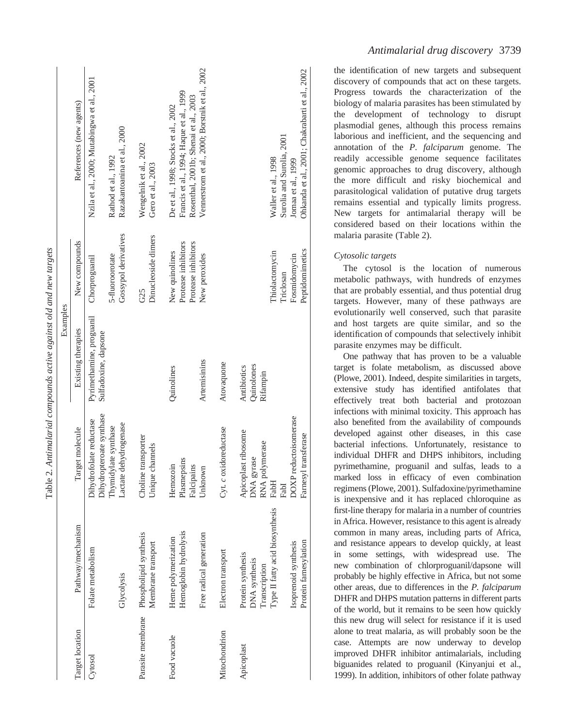|                   |                                                                                               |                                                                              | Table 2. Antimalarial compounds active against old and new targets |                                                              |                                                                                                                           |
|-------------------|-----------------------------------------------------------------------------------------------|------------------------------------------------------------------------------|--------------------------------------------------------------------|--------------------------------------------------------------|---------------------------------------------------------------------------------------------------------------------------|
|                   |                                                                                               |                                                                              | Examples                                                           |                                                              |                                                                                                                           |
| Target location   | Pathway/mechanism                                                                             | l'arget molecule                                                             | Existing therapies                                                 | New compounds                                                | References (new agents)                                                                                                   |
| Cytosol           | Folate metabolism                                                                             | Dihydropteroate synthase<br>Dihydrofolate reductase                          | Pyrimethamine, proguanil<br>Sulfadoxine, dapsone                   | Chorproguanil                                                | Nzila et al., 2000; Mutabingwa et al., 2001                                                                               |
|                   | Glycolysis                                                                                    | Lactate dehydrogenase<br>Thymidylate synthase                                |                                                                    | Gossypol derivatives<br>5-fluoroorotate                      | Razakantoanina et al., 2000<br>Rathod et al., 1992                                                                        |
| Parasite membrane | Phospholipid synthesis<br>Membrane transport                                                  | Choline transporter<br>Unique channels                                       |                                                                    | Dinucleoside dimers<br>G25                                   | Wengelnik et al., 2002<br>Gero et al., 2003                                                                               |
| Food vacuole      | Hemoglobin hydrolysis<br>Heme polymerization                                                  | Plasmepsins<br>Hemozoin<br>Falcipains                                        | Quinolines                                                         | Protease inhibitors<br>Protease inhibitors<br>New quinolines | Francis et al., 1994; Haque et al., 1999<br>Rosenthal, 2001b; Shenai et al., 2003<br>De et al., 1998; Stocks et al., 2002 |
|                   | Free radical generation                                                                       | Unknown                                                                      | Artemisinins                                                       | New peroxides                                                | Vennerstrom et al., 2000; Borstnik et al., 2002                                                                           |
| Mitochondrion     | Electron transport                                                                            | Cyt. c oxidoreductase                                                        | Atovaquone                                                         |                                                              |                                                                                                                           |
| Apicoplast        | Type II fatty acid biosynthesis<br>Protein synthesis<br><b>DNA</b> synthesis<br>Transcription | Apicoplast ribosome<br>polymerase<br>DNA gyrase<br>$RNA$ $I$<br>FabH<br>FabI | Quinolones<br>Antibiotics<br>Rifampin                              | Thiolactomycin<br>Triclosan                                  | Surolia and Surolia, 2001<br>Waller et al., 1998                                                                          |
|                   | Protein famesylation<br>Isoprenoid synthesis                                                  | DOXP reductoisomerase<br>Farnesyl transferase                                |                                                                    | Peptidomimetics<br>Fosmidomycin                              | Ohkanda et al., 2001; Chakrabarti et al., 2002<br>Jomaa et al., 1999                                                      |
|                   |                                                                                               |                                                                              |                                                                    |                                                              |                                                                                                                           |

# Table 2. *Antimalarial compounds active against old and new targets*  $\epsilon$

## *Antimalarial drug discovery* 3739

the identification of new targets and subsequent discovery of compounds that act on these targets. Progress towards the characterization of the biology of malaria parasites has been stimulated by the development of technology to disrupt plasmodial genes, although this process remains laborious and inefficient, and the sequencing and annotation of the *P. falciparum* genome. The readily accessible genome sequence facilitates genomic approaches to drug discovery, although the more difficult and risky biochemical and parasitological validation of putative drug targets remains essential and typically limits progress. New targets for antimalarial therapy will be considered based on their locations within the malaria parasite (Table 2).

## *Cytosolic targets*

The cytosol is the location of numerous metabolic pathways, with hundreds of enzymes that are probably essential, and thus potential drug targets. However, many of these pathways are evolutionarily well conserved, such that parasite and host targets are quite similar, and so the identification of compounds that selectively inhibit parasite enzymes may be difficult.

One pathway that has proven to be a valuable target is folate metabolism, as discussed above (Plowe, 2001). Indeed, despite similarities in targets, extensive study has identified antifolates that effectively treat both bacterial and protozoan infections with minimal toxicity. This approach has also benefited from the availability of compounds developed against other diseases, in this case bacterial infections. Unfortunately, resistance to individual DHFR and DHPS inhibitors, including pyrimethamine, proguanil and sulfas, leads to a marked loss in efficacy of even combination regimens (Plowe, 2001). Sulfadoxine/pyrimethamine is inexpensive and it has replaced chloroquine as first-line therapy for malaria in a number of countries in Africa. However, resistance to this agent is already common in many areas, including parts of Africa, and resistance appears to develop quickly, at least in some settings, with widespread use. The new combination of chlorproguanil/dapsone will probably be highly effective in Africa, but not some other areas, due to differences in the *P. falciparum* DHFR and DHPS mutation patterns in different parts of the world, but it remains to be seen how quickly this new drug will select for resistance if it is used alone to treat malaria, as will probably soon be the case. Attempts are now underway to develop improved DHFR inhibitor antimalarials, including biguanides related to proguanil (Kinyanjui et al., 1999). In addition, inhibitors of other folate pathway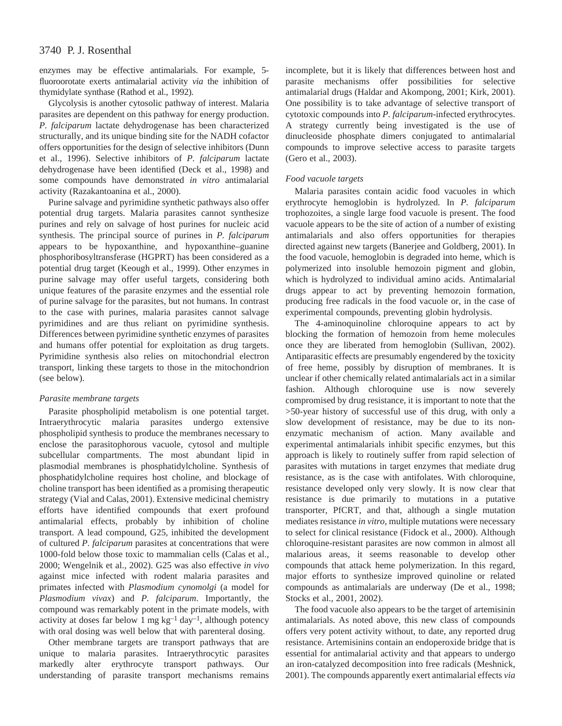enzymes may be effective antimalarials. For example, 5 fluoroorotate exerts antimalarial activity *via* the inhibition of thymidylate synthase (Rathod et al., 1992).

Glycolysis is another cytosolic pathway of interest. Malaria parasites are dependent on this pathway for energy production. *P. falciparum* lactate dehydrogenase has been characterized structurally, and its unique binding site for the NADH cofactor offers opportunities for the design of selective inhibitors (Dunn et al., 1996). Selective inhibitors of *P. falciparum* lactate dehydrogenase have been identified (Deck et al., 1998) and some compounds have demonstrated *in vitro* antimalarial activity (Razakantoanina et al., 2000).

Purine salvage and pyrimidine synthetic pathways also offer potential drug targets. Malaria parasites cannot synthesize purines and rely on salvage of host purines for nucleic acid synthesis. The principal source of purines in *P. falciparum* appears to be hypoxanthine, and hypoxanthine–guanine phosphoribosyltransferase (HGPRT) has been considered as a potential drug target (Keough et al., 1999). Other enzymes in purine salvage may offer useful targets, considering both unique features of the parasite enzymes and the essential role of purine salvage for the parasites, but not humans. In contrast to the case with purines, malaria parasites cannot salvage pyrimidines and are thus reliant on pyrimidine synthesis. Differences between pyrimidine synthetic enzymes of parasites and humans offer potential for exploitation as drug targets. Pyrimidine synthesis also relies on mitochondrial electron transport, linking these targets to those in the mitochondrion (see below).

## *Parasite membrane targets*

Parasite phospholipid metabolism is one potential target. Intraerythrocytic malaria parasites undergo extensive phospholipid synthesis to produce the membranes necessary to enclose the parasitophorous vacuole, cytosol and multiple subcellular compartments. The most abundant lipid in plasmodial membranes is phosphatidylcholine. Synthesis of phosphatidylcholine requires host choline, and blockage of choline transport has been identified as a promising therapeutic strategy (Vial and Calas, 2001). Extensive medicinal chemistry efforts have identified compounds that exert profound antimalarial effects, probably by inhibition of choline transport. A lead compound, G25, inhibited the development of cultured *P. falciparum* parasites at concentrations that were 1000-fold below those toxic to mammalian cells (Calas et al., 2000; Wengelnik et al., 2002). G25 was also effective *in vivo* against mice infected with rodent malaria parasites and primates infected with *Plasmodium cynomolgi* (a model for *Plasmodium vivax*) and *P. falciparum*. Importantly, the compound was remarkably potent in the primate models, with activity at doses far below 1 mg  $kg^{-1}$  day<sup>-1</sup>, although potency with oral dosing was well below that with parenteral dosing.

Other membrane targets are transport pathways that are unique to malaria parasites. Intraerythrocytic parasites markedly alter erythrocyte transport pathways. Our understanding of parasite transport mechanisms remains incomplete, but it is likely that differences between host and parasite mechanisms offer possibilities for selective antimalarial drugs (Haldar and Akompong, 2001; Kirk, 2001). One possibility is to take advantage of selective transport of cytotoxic compounds into *P. falciparum*-infected erythrocytes. A strategy currently being investigated is the use of dinucleoside phosphate dimers conjugated to antimalarial compounds to improve selective access to parasite targets (Gero et al., 2003).

## *Food vacuole targets*

Malaria parasites contain acidic food vacuoles in which erythrocyte hemoglobin is hydrolyzed. In *P. falciparum* trophozoites, a single large food vacuole is present. The food vacuole appears to be the site of action of a number of existing antimalarials and also offers opportunities for therapies directed against new targets (Banerjee and Goldberg, 2001). In the food vacuole, hemoglobin is degraded into heme, which is polymerized into insoluble hemozoin pigment and globin, which is hydrolyzed to individual amino acids. Antimalarial drugs appear to act by preventing hemozoin formation, producing free radicals in the food vacuole or, in the case of experimental compounds, preventing globin hydrolysis.

The 4-aminoquinoline chloroquine appears to act by blocking the formation of hemozoin from heme molecules once they are liberated from hemoglobin (Sullivan, 2002). Antiparasitic effects are presumably engendered by the toxicity of free heme, possibly by disruption of membranes. It is unclear if other chemically related antimalarials act in a similar fashion. Although chloroquine use is now severely compromised by drug resistance, it is important to note that the >50-year history of successful use of this drug, with only a slow development of resistance, may be due to its nonenzymatic mechanism of action. Many available and experimental antimalarials inhibit specific enzymes, but this approach is likely to routinely suffer from rapid selection of parasites with mutations in target enzymes that mediate drug resistance, as is the case with antifolates. With chloroquine, resistance developed only very slowly. It is now clear that resistance is due primarily to mutations in a putative transporter, PfCRT, and that, although a single mutation mediates resistance *in vitro*, multiple mutations were necessary to select for clinical resistance (Fidock et al., 2000). Although chloroquine-resistant parasites are now common in almost all malarious areas, it seems reasonable to develop other compounds that attack heme polymerization. In this regard, major efforts to synthesize improved quinoline or related compounds as antimalarials are underway (De et al., 1998; Stocks et al., 2001, 2002).

The food vacuole also appears to be the target of artemisinin antimalarials. As noted above, this new class of compounds offers very potent activity without, to date, any reported drug resistance. Artemisinins contain an endoperoxide bridge that is essential for antimalarial activity and that appears to undergo an iron-catalyzed decomposition into free radicals (Meshnick, 2001). The compounds apparently exert antimalarial effects *via*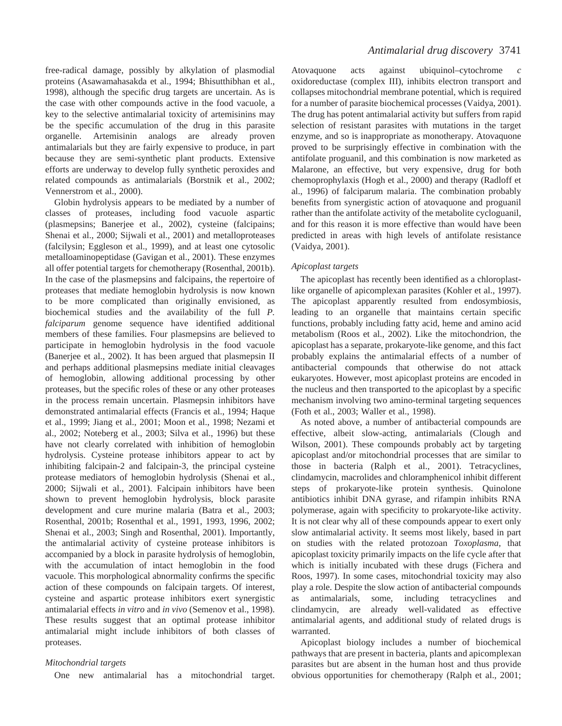free-radical damage, possibly by alkylation of plasmodial proteins (Asawamahasakda et al., 1994; Bhisutthibhan et al., 1998), although the specific drug targets are uncertain. As is the case with other compounds active in the food vacuole, a key to the selective antimalarial toxicity of artemisinins may be the specific accumulation of the drug in this parasite organelle. Artemisinin analogs are already proven antimalarials but they are fairly expensive to produce, in part because they are semi-synthetic plant products. Extensive efforts are underway to develop fully synthetic peroxides and related compounds as antimalarials (Borstnik et al., 2002; Vennerstrom et al., 2000).

Globin hydrolysis appears to be mediated by a number of classes of proteases, including food vacuole aspartic (plasmepsins; Banerjee et al., 2002), cysteine (falcipains; Shenai et al., 2000; Sijwali et al., 2001) and metalloproteases (falcilysin; Eggleson et al., 1999), and at least one cytosolic metalloaminopeptidase (Gavigan et al., 2001). These enzymes all offer potential targets for chemotherapy (Rosenthal, 2001b). In the case of the plasmepsins and falcipains, the repertoire of proteases that mediate hemoglobin hydrolysis is now known to be more complicated than originally envisioned, as biochemical studies and the availability of the full *P. falciparum* genome sequence have identified additional members of these families. Four plasmepsins are believed to participate in hemoglobin hydrolysis in the food vacuole (Banerjee et al., 2002). It has been argued that plasmepsin II and perhaps additional plasmepsins mediate initial cleavages of hemoglobin, allowing additional processing by other proteases, but the specific roles of these or any other proteases in the process remain uncertain. Plasmepsin inhibitors have demonstrated antimalarial effects (Francis et al., 1994; Haque et al., 1999; Jiang et al., 2001; Moon et al., 1998; Nezami et al., 2002; Noteberg et al., 2003; Silva et al., 1996) but these have not clearly correlated with inhibition of hemoglobin hydrolysis. Cysteine protease inhibitors appear to act by inhibiting falcipain-2 and falcipain-3, the principal cysteine protease mediators of hemoglobin hydrolysis (Shenai et al., 2000; Sijwali et al., 2001). Falcipain inhibitors have been shown to prevent hemoglobin hydrolysis, block parasite development and cure murine malaria (Batra et al., 2003; Rosenthal, 2001b; Rosenthal et al., 1991, 1993, 1996, 2002; Shenai et al., 2003; Singh and Rosenthal, 2001). Importantly, the antimalarial activity of cysteine protease inhibitors is accompanied by a block in parasite hydrolysis of hemoglobin, with the accumulation of intact hemoglobin in the food vacuole. This morphological abnormality confirms the specific action of these compounds on falcipain targets. Of interest, cysteine and aspartic protease inhibitors exert synergistic antimalarial effects *in vitro* and *in vivo* (Semenov et al., 1998). These results suggest that an optimal protease inhibitor antimalarial might include inhibitors of both classes of proteases.

#### *Mitochondrial targets*

One new antimalarial has a mitochondrial target.

Atovaquone acts against ubiquinol–cytochrome *c* oxidoreductase (complex III), inhibits electron transport and collapses mitochondrial membrane potential, which is required for a number of parasite biochemical processes (Vaidya, 2001). The drug has potent antimalarial activity but suffers from rapid selection of resistant parasites with mutations in the target enzyme, and so is inappropriate as monotherapy. Atovaquone proved to be surprisingly effective in combination with the antifolate proguanil, and this combination is now marketed as Malarone, an effective, but very expensive, drug for both chemoprophylaxis (Hogh et al., 2000) and therapy (Radloff et al., 1996) of falciparum malaria. The combination probably benefits from synergistic action of atovaquone and proguanil rather than the antifolate activity of the metabolite cycloguanil, and for this reason it is more effective than would have been predicted in areas with high levels of antifolate resistance (Vaidya, 2001).

## *Apicoplast targets*

The apicoplast has recently been identified as a chloroplastlike organelle of apicomplexan parasites (Kohler et al., 1997). The apicoplast apparently resulted from endosymbiosis, leading to an organelle that maintains certain specific functions, probably including fatty acid, heme and amino acid metabolism (Roos et al., 2002). Like the mitochondrion, the apicoplast has a separate, prokaryote-like genome, and this fact probably explains the antimalarial effects of a number of antibacterial compounds that otherwise do not attack eukaryotes. However, most apicoplast proteins are encoded in the nucleus and then transported to the apicoplast by a specific mechanism involving two amino-terminal targeting sequences (Foth et al., 2003; Waller et al., 1998).

As noted above, a number of antibacterial compounds are effective, albeit slow-acting, antimalarials (Clough and Wilson, 2001). These compounds probably act by targeting apicoplast and/or mitochondrial processes that are similar to those in bacteria (Ralph et al., 2001). Tetracyclines, clindamycin, macrolides and chloramphenicol inhibit different steps of prokaryote-like protein synthesis. Quinolone antibiotics inhibit DNA gyrase, and rifampin inhibits RNA polymerase, again with specificity to prokaryote-like activity. It is not clear why all of these compounds appear to exert only slow antimalarial activity. It seems most likely, based in part on studies with the related protozoan *Toxoplasma*, that apicoplast toxicity primarily impacts on the life cycle after that which is initially incubated with these drugs (Fichera and Roos, 1997). In some cases, mitochondrial toxicity may also play a role. Despite the slow action of antibacterial compounds as antimalarials, some, including tetracyclines and clindamycin, are already well-validated as effective antimalarial agents, and additional study of related drugs is warranted.

Apicoplast biology includes a number of biochemical pathways that are present in bacteria, plants and apicomplexan parasites but are absent in the human host and thus provide obvious opportunities for chemotherapy (Ralph et al., 2001;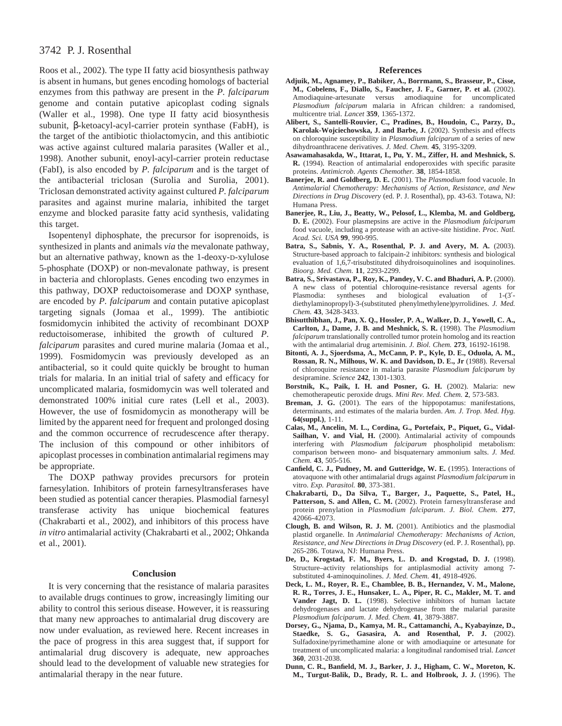Roos et al., 2002). The type II fatty acid biosynthesis pathway is absent in humans, but genes encoding homologs of bacterial enzymes from this pathway are present in the *P. falciparum* genome and contain putative apicoplast coding signals (Waller et al., 1998). One type II fatty acid biosynthesis subunit, β-ketoacyl-acyl-carrier protein synthase (FabH), is the target of the antibiotic thiolactomycin, and this antibiotic was active against cultured malaria parasites (Waller et al., 1998). Another subunit, enoyl-acyl-carrier protein reductase (FabI), is also encoded by *P. falciparum* and is the target of the antibacterial triclosan (Surolia and Surolia, 2001). Triclosan demonstrated activity against cultured *P. falciparum* parasites and against murine malaria, inhibited the target enzyme and blocked parasite fatty acid synthesis, validating this target.

Isopentenyl diphosphate, the precursor for isoprenoids, is synthesized in plants and animals *via* the mevalonate pathway, but an alternative pathway, known as the 1-deoxy-D-xylulose 5-phosphate (DOXP) or non-mevalonate pathway, is present in bacteria and chloroplasts. Genes encoding two enzymes in this pathway, DOXP reductoisomerase and DOXP synthase, are encoded by *P. falciparum* and contain putative apicoplast targeting signals (Jomaa et al., 1999). The antibiotic fosmidomycin inhibited the activity of recombinant DOXP reductoisomerase, inhibited the growth of cultured *P. falciparum* parasites and cured murine malaria (Jomaa et al., 1999). Fosmidomycin was previously developed as an antibacterial, so it could quite quickly be brought to human trials for malaria. In an initial trial of safety and efficacy for uncomplicated malaria, fosmidomycin was well tolerated and demonstrated 100% initial cure rates (Lell et al., 2003). However, the use of fosmidomycin as monotherapy will be limited by the apparent need for frequent and prolonged dosing and the common occurrence of recrudescence after therapy. The inclusion of this compound or other inhibitors of apicoplast processes in combination antimalarial regimens may be appropriate.

The DOXP pathway provides precursors for protein farnesylation. Inhibitors of protein farnesyltransferases have been studied as potential cancer therapies. Plasmodial farnesyl transferase activity has unique biochemical features (Chakrabarti et al., 2002), and inhibitors of this process have *in vitro* antimalarial activity (Chakrabarti et al., 2002; Ohkanda et al., 2001).

#### **Conclusion**

It is very concerning that the resistance of malaria parasites to available drugs continues to grow, increasingly limiting our ability to control this serious disease. However, it is reassuring that many new approaches to antimalarial drug discovery are now under evaluation, as reviewed here. Recent increases in the pace of progress in this area suggest that, if support for antimalarial drug discovery is adequate, new approaches should lead to the development of valuable new strategies for antimalarial therapy in the near future.

#### **References**

- **Adjuik, M., Agnamey, P., Babiker, A., Borrmann, S., Brasseur, P., Cisse, M., Cobelens, F., Diallo, S., Faucher, J. F., Garner, P. et al.** (2002). Amodiaquine-artesunate versus amodiaquine for uncomplicated *Plasmodium falciparum* malaria in African children: a randomised, multicentre trial. *Lancet* **359**, 1365-1372.
- **Alibert, S., Santelli-Rouvier, C., Pradines, B., Houdoin, C., Parzy, D., Karolak-Wojciechowska, J. and Barbe, J.** (2002). Synthesis and effects on chloroquine susceptibility in *Plasmodium falciparum* of a series of new dihydroanthracene derivatives. *J. Med. Chem.* **45**, 3195-3209.
- **Asawamahasakda, W., Ittarat, I., Pu, Y. M., Ziffer, H. and Meshnick, S. R.** (1994). Reaction of antimalarial endoperoxides with specific parasite proteins. *Antimicrob. Agents Chemother.* **38**, 1854-1858.
- **Banerjee, R. and Goldberg, D. E.** (2001). The *Plasmodium* food vacuole. In *Antimalarial Chemotherapy: Mechanisms of Action, Resistance, and New Directions in Drug Discovery* (ed. P. J. Rosenthal), pp. 43-63. Totawa, NJ: Humana Press.
- **Banerjee, R., Liu, J., Beatty, W., Pelosof, L., Klemba, M. and Goldberg, D. E.** (2002). Four plasmepsins are active in the *Plasmodium falciparum* food vacuole, including a protease with an active-site histidine. *Proc. Natl. Acad. Sci. USA* **99**, 990-995.
- **Batra, S., Sabnis, Y. A., Rosenthal, P. J. and Avery, M. A.** (2003). Structure-based approach to falcipain-2 inhibitors: synthesis and biological evaluation of 1,6,7-trisubstituted dihydroisoquinolines and isoquinolines. *Bioorg. Med. Chem.* **11**, 2293-2299.
- **Batra, S., Srivastava, P., Roy, K., Pandey, V. C. and Bhaduri, A. P.** (2000). A new class of potential chloroquine-resistance reversal agents for Plasmodia: syntheses and biological evaluation of 1-(3′ diethylaminopropyl)-3-(substituted phenylmethylene)pyrrolidines. *J. Med. Chem.* **43**, 3428-3433.
- **Bhisutthibhan, J., Pan, X. Q., Hossler, P. A., Walker, D. J., Yowell, C. A., Carlton, J., Dame, J. B. and Meshnick, S. R.** (1998). The *Plasmodium falciparum* translationally controlled tumor protein homolog and its reaction with the antimalarial drug artemisinin. *J. Biol. Chem.* **273**, 16192-16198.
- **Bitonti, A. J., Sjoerdsma, A., McCann, P. P., Kyle, D. E., Oduola, A. M., Rossan, R. N., Milhous, W. K. and Davidson, D. E., Jr** (1988). Reversal of chloroquine resistance in malaria parasite *Plasmodium falciparum* by desipramine. *Science* **242**, 1301-1303.
- **Borstnik, K., Paik, I. H. and Posner, G. H.** (2002). Malaria: new chemotherapeutic peroxide drugs. *Mini Rev. Med. Chem.* **2**, 573-583.
- Breman, J. G. (2001). The ears of the hippopotamus: manifestations, determinants, and estimates of the malaria burden. *Am. J. Trop. Med. Hyg.* **64(suppl.)**, 1-11.
- **Calas, M., Ancelin, M. L., Cordina, G., Portefaix, P., Piquet, G., Vidal-**Sailhan, V. and Vial, H. (2000). Antimalarial activity of compounds interfering with *Plasmodium falciparum* phospholipid metabolism: comparison between mono- and bisquaternary ammonium salts. *J. Med. Chem.* **43**, 505-516.
- **Canfield, C. J., Pudney, M. and Gutteridge, W. E.** (1995). Interactions of atovaquone with other antimalarial drugs against *Plasmodium falciparum* in vitro. *Exp. Parasitol.* **80**, 373-381.
- **Chakrabarti, D., Da Silva, T., Barger, J., Paquette, S., Patel, H.,** Patterson, S. and Allen, C. M. (2002). Protein farnesyltransferase and protein prenylation in *Plasmodium falciparum*. *J. Biol. Chem.* **277**, 42066-42073.
- **Clough, B. and Wilson, R. J. M.** (2001). Antibiotics and the plasmodial plastid organelle. In *Antimalarial Chemotherapy: Mechanisms of Action, Resistance, and New Directions in Drug Discovery* (ed. P. J. Rosenthal), pp. 265-286. Totawa, NJ: Humana Press.
- **De, D., Krogstad, F. M., Byers, L. D. and Krogstad, D. J.** (1998). Structure–activity relationships for antiplasmodial activity among 7 substituted 4-aminoquinolines. *J. Med. Chem.* **41**, 4918-4926.
- **Deck, L. M., Royer, R. E., Chamblee, B. B., Hernandez, V. M., Malone, R. R., Torres, J. E., Hunsaker, L. A., Piper, R. C., Makler, M. T. and Vander Jagt, D. L.** (1998). Selective inhibitors of human lactate dehydrogenases and lactate dehydrogenase from the malarial parasite *Plasmodium falciparum*. *J. Med. Chem.* **41**, 3879-3887.
- **Dorsey, G., Njama, D., Kamya, M. R., Cattamanchi, A., Kyabayinze, D., Staedke, S. G., Gasasira, A. and Rosenthal, P. J.** (2002). Sulfadoxine/pyrimethamine alone or with amodiaquine or artesunate for treatment of uncomplicated malaria: a longitudinal randomised trial. *Lancet* **360**, 2031-2038.
- **Dunn, C. R., Banfield, M. J., Barker, J. J., Higham, C. W., Moreton, K. M., Turgut-Balik, D., Brady, R. L. and Holbrook, J. J.** (1996). The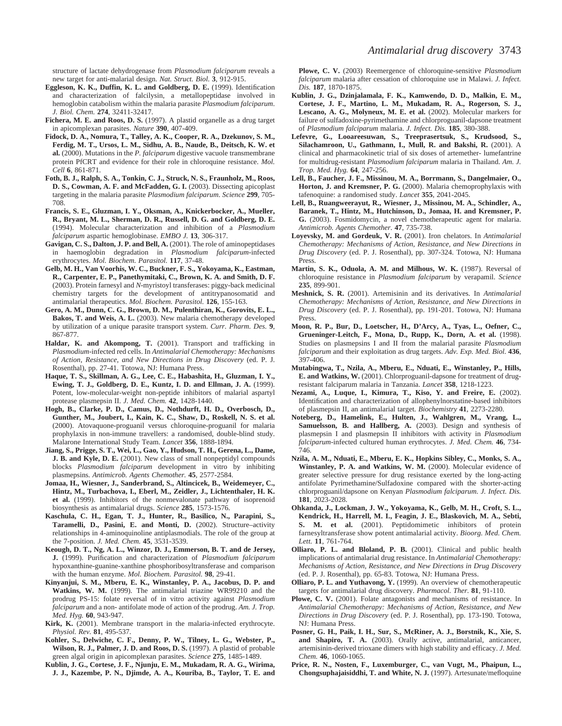structure of lactate dehydrogenase from *Plasmodium falciparum* reveals a new target for anti-malarial design. *Nat. Struct. Biol.* **3**, 912-915.

- **Eggleson, K. K., Duffin, K. L. and Goldberg, D. E.** (1999). Identification and characterization of falcilysin, a metallopeptidase involved in hemoglobin catabolism within the malaria parasite *Plasmodium falciparum*. *J. Biol. Chem.* **274**, 32411-32417.
- **Fichera, M. E. and Roos, D. S.** (1997). A plastid organelle as a drug target in apicomplexan parasites. *Nature* **390**, 407-409.
- **Fidock, D. A., Nomura, T., Talley, A. K., Cooper, R. A., Dzekunov, S. M., Ferdig, M. T., Ursos, L. M., Sidhu, A. B., Naude, B., Deitsch, K. W. et al.** (2000). Mutations in the *P. falciparum* digestive vacuole transmembrane protein PfCRT and evidence for their role in chloroquine resistance. *Mol. Cell* **6**, 861-871.
- **Foth, B. J., Ralph, S. A., Tonkin, C. J., Struck, N. S., Fraunholz, M., Roos, D. S., Cowman, A. F. and McFadden, G. I.** (2003). Dissecting apicoplast targeting in the malaria parasite *Plasmodium falciparum*. *Science* **299**, 705- 708.
- **Francis, S. E., Gluzman, I. Y., Oksman, A., Knickerbocker, A., Mueller, R., Bryant, M. L., Sherman, D. R., Russell, D. G. and Goldberg, D. E.** (1994). Molecular characterization and inhibition of a *Plasmodium falciparum* aspartic hemoglobinase. *EMBO J.* **13**, 306-317.
- **Gavigan, C. S., Dalton, J. P. and Bell, A.** (2001). The role of aminopeptidases in haemoglobin degradation in *Plasmodium falciparum*-infected erythrocytes. *Mol. Biochem. Parasitol.* **117**, 37-48.
- **Gelb, M. H., Van Voorhis, W. C., Buckner, F. S., Yokoyama, K., Eastman, R., Carpenter, E. P., Panethymitaki, C., Brown, K. A. and Smith, D. F.** (2003). Protein farnesyl and *N*-myristoyl transferases: piggy-back medicinal chemistry targets for the development of antitrypanosomatid and antimalarial therapeutics. *Mol. Biochem. Parasitol.* **126**, 155-163.
- **Gero, A. M., Dunn, C. G., Brown, D. M., Pulenthiran, K., Gorovits, E. L., Bakos, T. and Weis, A. L.** (2003). New malaria chemotherapy developed by utilization of a unique parasite transport system. *Curr. Pharm. Des.* **9**, 867-877.
- **Haldar, K. and Akompong, T.** (2001). Transport and trafficking in *Plasmodium*-infected red cells. In *Antimalarial Chemotherapy: Mechanisms of Action, Resistance, and New Directions in Drug Discovery* (ed. P. J. Rosenthal), pp. 27-41. Totowa, NJ: Humana Press.
- **Haque, T. S., Skillman, A. G., Lee, C. E., Habashita, H., Gluzman, I. Y., Ewing, T. J., Goldberg, D. E., Kuntz, I. D. and Ellman, J. A.** (1999). Potent, low-molecular-weight non-peptide inhibitors of malarial aspartyl protease plasmepsin II. *J. Med. Chem.* **42**, 1428-1440.
- **Hogh, B., Clarke, P. D., Camus, D., Nothdurft, H. D., Overbosch, D., Gunther, M., Joubert, I., Kain, K. C., Shaw, D., Roskell, N. S. et al.** (2000). Atovaquone-proguanil versus chloroquine-proguanil for malaria prophylaxis in non-immune travellers: a randomised, double-blind study. Malarone International Study Team. *Lancet* **356**, 1888-1894.
- **Jiang, S., Prigge, S. T., Wei, L., Gao, Y., Hudson, T. H., Gerena, L., Dame, J. B. and Kyle, D. E.** (2001). New class of small nonpeptidyl compounds blocks *Plasmodium falciparum* development in vitro by inhibiting plasmepsins. *Antimicrob. Agents Chemother.* **45**, 2577-2584.
- **Jomaa, H., Wiesner, J., Sanderbrand, S., Altincicek, B., Weidemeyer, C., Hintz, M., Turbachova, I., Eberl, M., Zeidler, J., Lichtenthaler, H. K. et al.** (1999). Inhibitors of the nonmevalonate pathway of isoprenoid biosynthesis as antimalarial drugs. *Science* **285**, 1573-1576.
- **Kaschula, C. H., Egan, T. J., Hunter, R., Basilico, N., Parapini, S., Taramelli, D., Pasini, E. and Monti, D.** (2002). Structure–activity relationships in 4-aminoquinoline antiplasmodials. The role of the group at the 7-position. *J. Med. Chem.* **45**, 3531-3539.
- **Keough, D. T., Ng, A. L., Winzor, D. J., Emmerson, B. T. and de Jersey, J.** (1999). Purification and characterization of *Plasmodium falciparum* hypoxanthine-guanine-xanthine phosphoribosyltransferase and comparison with the human enzyme. *Mol. Biochem. Parasitol.* **98**, 29-41.
- **Kinyanjui, S. M., Mberu, E. K., Winstanley, P. A., Jacobus, D. P. and Watkins, W. M.** (1999). The antimalarial triazine WR99210 and the prodrug PS-15: folate reversal of in vitro activity against *Plasmodium falciparum* and a non- antifolate mode of action of the prodrug. *Am. J. Trop. Med. Hyg.* **60**, 943-947.
- **Kirk, K.** (2001). Membrane transport in the malaria-infected erythrocyte. *Physiol. Rev.* **81**, 495-537.
- **Kohler, S., Delwiche, C. F., Denny, P. W., Tilney, L. G., Webster, P., Wilson, R. J., Palmer, J. D. and Roos, D. S.** (1997). A plastid of probable green algal origin in apicomplexan parasites. *Science* **275**, 1485-1489.
- **Kublin, J. G., Cortese, J. F., Njunju, E. M., Mukadam, R. A. G., Wirima, J. J., Kazembe, P. N., Djimde, A. A., Kouriba, B., Taylor, T. E. and**

**Plowe, C. V.** (2003) Reemergence of chloroquine-sensitive *Plasmodium falciparum* malaria after cessation of chloroquine use in Malawi. *J. Infect. Dis.* **187**, 1870-1875.

- **Kublin, J. G., Dzinjalamala, F. K., Kamwendo, D. D., Malkin, E. M., Cortese, J. F., Martino, L. M., Mukadam, R. A., Rogerson, S. J., Lescano, A. G., Molyneux, M. E. et al.** (2002). Molecular markers for failure of sulfadoxine-pyrimethamine and chlorproguanil-dapsone treatment of *Plasmodium falciparum* malaria. *J. Infect. Dis.* **185**, 380-388.
- **Lefevre, G., Looareesuwan, S., Treeprasertsuk, S., Krudsood, S., Silachamroon, U., Gathmann, I., Mull, R. and Bakshi, R.** (2001). A clinical and pharmacokinetic trial of six doses of artemether- lumefantrine for multidrug-resistant *Plasmodium falciparum* malaria in Thailand. *Am. J. Trop. Med. Hyg.* **64**, 247-256.
- **Lell, B., Faucher, J. F., Missinou, M. A., Borrmann, S., Dangelmaier, O., Horton, J. and Kremsner, P. G.** (2000). Malaria chemoprophylaxis with tafenoquine: a randomised study. *Lancet* **355**, 2041-2045.
- **Lell, B., Ruangweerayut, R., Wiesner, J., Missinou, M. A., Schindler, A., Baranek, T., Hintz, M., Hutchinson, D., Jomaa, H. and Kremsner, P. G.** (2003). Fosmidomycin, a novel chemotherapeutic agent for malaria. *Antimicrob. Agents Chemother.* **47**, 735-738.
- **Loyevsky, M. and Gordeuk, V. R.** (2001). Iron chelators. In *Antimalarial Chemotherapy: Mechanisms of Action, Resistance, and New Directions in Drug Discovery* (ed. P. J. Rosenthal), pp. 307-324. Totowa, NJ: Humana Press.
- **Martin, S. K., Oduola, A. M. and Milhous, W. K.** (1987). Reversal of chloroquine resistance in *Plasmodium falciparum* by verapamil. *Science* **235**, 899-901.
- **Meshnick, S. R.** (2001). Artemisinin and its derivatives. In *Antimalarial Chemotherapy: Mechanisms of Action, Resistance, and New Directions in Drug Discovery* (ed. P. J. Rosenthal), pp. 191-201. Totowa, NJ: Humana Press.
- **Moon, R. P., Bur, D., Loetscher, H., D'Arcy, A., Tyas, L., Oefner, C., Grueninger-Leitch, F., Mona, D., Rupp, K., Dorn, A. et al.** (1998). Studies on plasmepsins I and II from the malarial parasite *Plasmodium falciparum* and their exploitation as drug targets. *Adv. Exp. Med. Biol.* **436**, 397-406.
- **Mutabingwa, T., Nzila, A., Mberu, E., Nduati, E., Winstanley, P., Hills, E. and Watkins, W.** (2001). Chlorproguanil-dapsone for treatment of drugresistant falciparum malaria in Tanzania. *Lancet* **358**, 1218-1223.
- **Nezami, A., Luque, I., Kimura, T., Kiso, Y. and Freire, E.** (2002). Identification and characterization of allophenylnorstatine-based inhibitors of plasmepsin II, an antimalarial target. *Biochemistry* **41**, 2273-2280.
- **Noteberg, D., Hamelink, E., Hulten, J., Wahlgren, M., Vrang, L., Samuelsson, B. and Hallberg, A.** (2003). Design and synthesis of plasmepsin I and plasmepsin II inhibitors with activity in *Plasmodium falciparum*-infected cultured human erythrocytes. *J. Med. Chem.* **46**, 734- 746.
- **Nzila, A. M., Nduati, E., Mberu, E. K., Hopkins Sibley, C., Monks, S. A., Winstanley, P. A. and Watkins, W. M.** (2000). Molecular evidence of greater selective pressure for drug resistance exerted by the long-acting antifolate Pyrimethamine/Sulfadoxine compared with the shorter-acting chlorproguanil/dapsone on Kenyan *Plasmodium falciparum*. *J. Infect. Dis.* **181**, 2023-2028.
- **Ohkanda, J., Lockman, J. W., Yokoyama, K., Gelb, M. H., Croft, S. L., Kendrick, H., Harrell, M. I., Feagin, J. E., Blaskovich, M. A., Sebti, S. M. et al.** (2001). Peptidomimetic inhibitors of protein farnesyltransferase show potent antimalarial activity. *Bioorg. Med. Chem. Lett.* **11**, 761-764.
- **Olliaro, P. L. and Bloland, P. B.** (2001). Clinical and public health implications of antimalarial drug resistance. In *Antimalarial Chemotherapy: Mechanisms of Action, Resistance, and New Directions in Drug Discovery* (ed. P. J. Rosenthal), pp. 65-83. Totowa, NJ: Humana Press.
- **Olliaro, P. L. and Yuthavong, Y.** (1999). An overview of chemotherapeutic targets for antimalarial drug discovery. *Pharmacol. Ther.* **81**, 91-110.
- Plowe, C. V. (2001). Folate antagonists and mechanisms of resistance. In *Antimalarial Chemotherapy: Mechanisms of Action, Resistance, and New Directions in Drug Discovery* (ed. P. J. Rosenthal), pp. 173-190. Totowa, NJ: Humana Press.
- **Posner, G. H., Paik, I. H., Sur, S., McRiner, A. J., Borstnik, K., Xie, S. and Shapiro, T. A.** (2003). Orally active, antimalarial, anticancer, artemisinin-derived trioxane dimers with high stability and efficacy. *J. Med. Chem.* **46**, 1060-1065.
- **Price, R. N., Nosten, F., Luxemburger, C., van Vugt, M., Phaipun, L., Chongsuphajaisiddhi, T. and White, N. J.** (1997). Artesunate/mefloquine